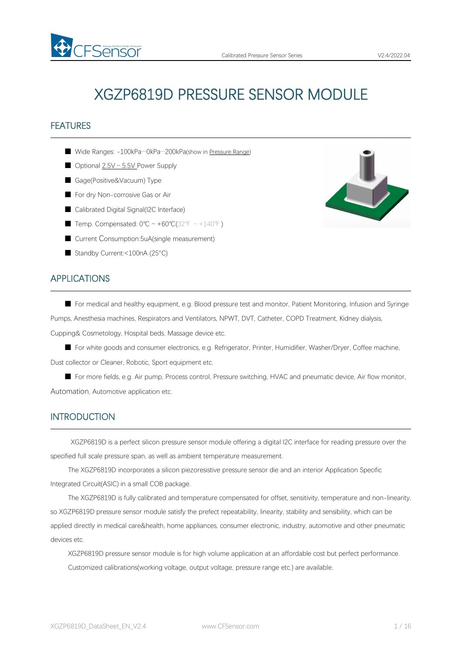

# XGZP6819D PRESSURE SENSOR MODULE

# **FEATURES**

- Wide Ranges: -100kPa…0kPa…200kPa(show in [Pressure](#page-4-0) Range)
- Optional 2.5V ~ 5.5V Power Supply
- Gage(Positive&Vacuum) Type
- For dry Non-corrosive Gas or Air
- Calibrated Digital Signal(I2C Interface)
- Temp. Compensated: 0°C ~ +60°C(32°F ~ +140°F)
- Current Consumption:5uA(single measurement)
- Standby Current:<100nA (25°C)

# APPLICATIONS

■ For medical and healthy equipment, e.g. Blood pressure test and monitor, Patient Monitoring, Infusion and Syringe Pumps, Anesthesia machines, Respirators and Ventilators, NPWT, DVT, Catheter, COPD Treatment, Kidney dialysis, Cupping& Cosmetology, Hospital beds, Massage device etc.

■ For white goods and consumer electronics, e.g. Refrigerator, Printer, Humidifier, Washer/Dryer, Coffee machine, Dust collector or Cleaner, Robotic, Sport equipment etc.

■ For more fields, e.g. Air pump, Process control, Pressure switching, HVAC and pneumatic device, Air flow monitor, Automation, Automotive application etc.

# **INTRODUCTION**

XGZP6819D is a perfect silicon pressure sensor module offering a digital I2C interface for reading pressure over the specified full scale pressure span, as well as ambient temperature measurement.

The XGZP6819D incorporates a silicon piezoresistive pressure sensor die and an interior Application Specific Integrated Circuit(ASIC) in a small COB package.

The XGZP6819D is fully calibrated and temperature compensated for offset, sensitivity, temperature and non-linearity, so XGZP6819D pressure sensor module satisfy the prefect repeatability, linearity, stability and sensibility, which can be applied directly in medical care&health, home appliances, consumer electronic, industry, automotive and other pneumatic devices etc.

XGZP6819D pressure sensor module is for high volume application at an affordable cost but perfect performance. Customized calibrations(working voltage, output voltage, pressure range etc.) are available.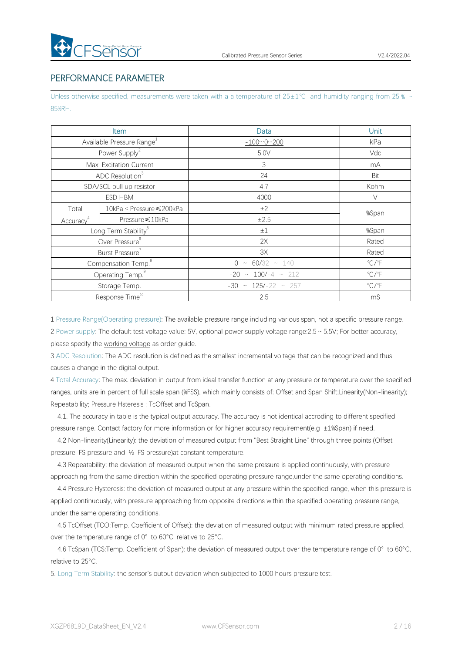# PERFORMANCE PARAMETER

Unless otherwise specified, measurements were taken with a a temperature of 25±1℃ and humidity ranging from 25 % ~ 85%RH.

|                                  | Item                                  | Data                         | Unit                       |  |  |
|----------------------------------|---------------------------------------|------------------------------|----------------------------|--|--|
|                                  | Available Pressure Range <sup>1</sup> | $-1000200$                   | kPa                        |  |  |
|                                  | Power Supply <sup>2</sup>             | 5.0V                         | Vdc                        |  |  |
|                                  | Max. Excitation Current               | 3                            | mA                         |  |  |
|                                  | ADC Resolution <sup>3</sup>           | 24                           | Bit                        |  |  |
| SDA/SCL pull up resistor         |                                       | 4.7                          | Kohm                       |  |  |
| ESD HBM                          |                                       | 4000                         | V                          |  |  |
| Total                            | 10kPa < Pressure ≤ 200kPa             | ±2                           | %Span                      |  |  |
| Accuracy <sup>4</sup>            | Pressure ≤10kPa                       | $\pm 2.5$                    |                            |  |  |
| Long Term Stability <sup>5</sup> |                                       | $\pm 1$                      | %Span                      |  |  |
|                                  | Over Pressure <sup>6</sup>            | 2X                           | Rated                      |  |  |
|                                  | Burst Pressure                        | 3X                           | Rated                      |  |  |
|                                  | Compensation Temp. <sup>8</sup>       | $60/32 \sim 140$<br>$0 \sim$ | $\mathrm{C}/\mathrm{F}$    |  |  |
|                                  | Operating Temp. <sup>9</sup>          | $-20 \sim 100/-4 \sim 212$   | $^{\circ}$ C/ $^{\circ}$ F |  |  |
|                                  | Storage Temp.                         | $-30 \sim 125/-22 \sim 257$  | $\mathrm{C}/\mathrm{F}$    |  |  |
|                                  | Response Time <sup>10</sup>           | 2.5                          | mS                         |  |  |

1 Pressure Range(Operating pressure): The available pressure range including variousspan, not a specific pressure range. 2 Power supply: The default test voltage value: 5V, optional power supply voltage range:2.5~5.5V; For better accuracy, please specify the [working](#page-4-1) voltage as order guide.

3 ADC Resolution: The ADC resolution is defined as the smallest incremental voltage that can be recognized and thus causes a change in the digital output.

4 Total Accuracy: The max. deviation in output from ideal transfer function at any pressure or temperature over the specified ranges, units are in percent of full scale span (%FSS), which mainly consists of: Offset and Span Shift; Linearity(Non-linearity); Repeatability; Pressure Hsteresis ; TcOffset and TcSpan.

4.1. The accuracy in table is the typical output accuracy. The accuracy is notidentical accroding to different specified pressure range. Contact factory for more information or for higher accuracy requirement(e.g ±1%Span) if need.

4.2 Non-linearity(Linearity): the deviation of measured output from "Best Straight Line" through three points (Offset pressure, FS pressure and ½ FS pressure)at constant temperature.

4.3 Repeatability: the deviation of measured output when the same pressure is applied continuously, with pressure approaching from the same direction within the specified operating pressure range,under the same operating conditions.

4.4 Pressure Hysteresis: the deviation of measured output at any pressure within the specified range, when this pressure is applied continuously, with pressure approaching from opposite directions within the specified operating pressure range, under the same operating conditions.

4.5 TcOffset (TCO:Temp. Coefficient of Offset): the deviation of measured output with minimum rated pressure applied, over the temperature range of 0° to 60°C, relative to 25°C.

4.6 TcSpan (TCS:Temp. Coefficient of Span): the deviation of measured output over the temperature range of 0° to 60°C, relative to 25°C.

5. Long Term Stability: the sensor's output deviation when subjected to 1000 hours pressure test.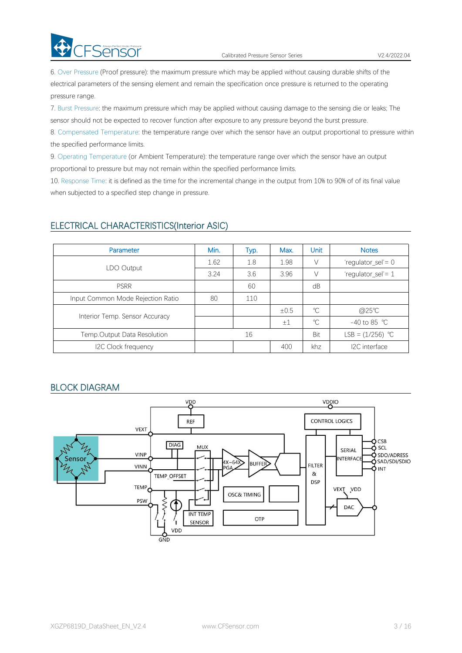6. Over Pressure (Proof pressure): the maximum pressure which may be applied without causing durable shifts of the electrical parameters of the sensing element and remain the specification once pressure is returned to the operating pressure range.

7. Burst Pressure: the maximum pressure which may be applied without causing damage to the sensing die or leaks; The sensor should not be expected to recover function after exposure to any pressure beyond the burst pressure.

8. Compensated Temperature: the temperature range over which the sensor have an output proportional to pressure within the specified performance limits.

9. Operating Temperature (or Ambient Temperature): the temperature range over which the sensor have an output proportional to pressure but may not remain within the specified performance limits.

10. Response Time: it is defined as the time for the incremental change in the output from 10% to 90% of of its final value when subjected to a specified step change in pressure.

# ELECTRICAL CHARACTERISTICS(Interior ASIC)

| Parameter                         | Min. | Typ. | Max.    | <b>Unit</b> | <b>Notes</b>           |  |
|-----------------------------------|------|------|---------|-------------|------------------------|--|
|                                   | 1.62 | 1.8  | 1.98    | V           | 'regulator_sel' = $0$  |  |
| LDO Output                        | 3.24 | 3.6  | 3.96    | V           | 'regulator_sel'= 1     |  |
| <b>PSRR</b>                       |      | 60   |         | dB          |                        |  |
| Input Common Mode Rejection Ratio | 80   | 110  |         |             |                        |  |
| Interior Temp. Sensor Accuracy    |      |      | ±0.5    | $^{\circ}C$ | @25°C                  |  |
|                                   |      |      | $\pm 1$ | $^{\circ}C$ | -40 to 85 $^{\circ}$ C |  |
| Temp.Output Data Resolution       |      | 16   |         | Bit         | LSB = $(1/256)$ °C     |  |
| I2C Clock frequency               |      |      | 400     | khz         | I2C interface          |  |

# BLOCK DIAGRAM

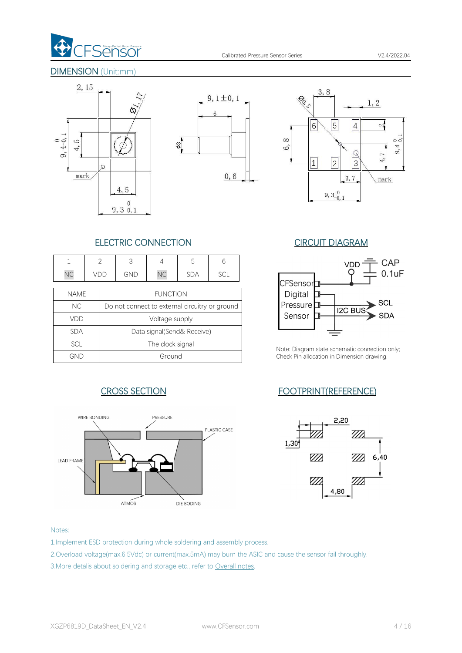

# DIMENSION (Unit:mm)







# ELECTRIC CONNECTION CIRCUIT DIAGRAM

|             | $\mathfrak{D}$ | 3          |                  | 5                                              | 6   |                     |
|-------------|----------------|------------|------------------|------------------------------------------------|-----|---------------------|
| <b>NC</b>   | VDD            | <b>GND</b> | <b>NC</b>        | <b>SDA</b>                                     | SCL |                     |
| <b>NAME</b> |                |            | <b>FUNCTION</b>  |                                                |     | CFSensor<br>Digital |
| <b>NC</b>   |                |            |                  | Do not connect to external circuitry or ground |     | Pressure            |
| VDD         |                |            | Voltage supply   |                                                |     | Sensor              |
| <b>SDA</b>  |                |            |                  | Data signal(Send& Receive)                     |     |                     |
| SCL         |                |            | The clock signal |                                                |     | Note: Diagran       |
| <b>GND</b>  |                |            | Ground           |                                                |     | Check Pin allc      |





Note: Diagram state schematic connection only; Check Pin allocation in Dimension drawing.

# CROSS SECTION FOOTPRINT(REFERENCE)



#### Notes:

- 1.Implement ESD protection during whole soldering and assembly process.
- 2.Overload voltage(max.6.5Vdc) or current(max.5mA) may burn the ASIC and cause the sensor fail throughly.
- 3. More detalis about soldering and storage etc., refer to Overall notes.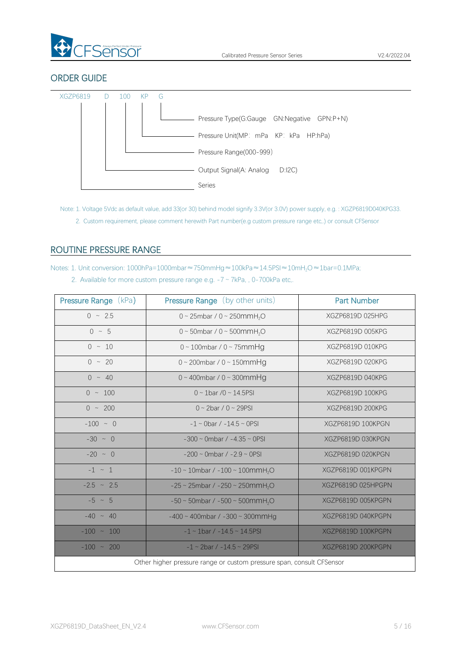

# ORDER GUIDE



Note: 1. Voltage 5Vdc as default value, add 33(or 30) behind model signify 3.3V(or 3.0V) power supply, e.g. : XGZP6819D040KPG33.

<span id="page-4-1"></span>2. Custom requirement, please comment herewith Part number(e.g custom pressure range etc,.) or consult CFSensor

# <span id="page-4-0"></span>ROUTINE PRESSURE RANGE

Notes: 1. Unit conversion: 1000hPa=1000mbar≈750mmHg≈100kPa≈14.5PSI≈10mH2O≈1bar=0.1MPa; 2. Available for more custom pressure range e.g.  $-7 \sim 7kPa$ , , 0-700kPa etc,.

| <b>Pressure Range (kPa)</b>                                           | <b>Pressure Range</b> (by other units)                  | <b>Part Number</b> |  |  |  |  |  |  |
|-----------------------------------------------------------------------|---------------------------------------------------------|--------------------|--|--|--|--|--|--|
| $0 \sim 2.5$                                                          | 0 ~ 25mbar / 0 ~ 250mmH <sub>2</sub> O                  | XGZP6819D 025HPG   |  |  |  |  |  |  |
| $0 \sim 5$                                                            | $0 \sim 50$ mbar / $0 \sim 500$ mmH <sub>2</sub> O      | XGZP6819D 005KPG   |  |  |  |  |  |  |
| $0 \sim 10$                                                           | $0 \sim 100$ mbar / $0 \sim 75$ mmHg                    | XGZP6819D 010KPG   |  |  |  |  |  |  |
| $0 \sim 20$                                                           | $0 \sim 200$ mbar / $0 \sim 150$ mmHg                   | XGZP6819D 020KPG   |  |  |  |  |  |  |
| $0 \sim 40$                                                           | $0 \sim 400$ mbar / $0 \sim 300$ mmHg                   | XGZP6819D 040KPG   |  |  |  |  |  |  |
| $0 \sim 100$                                                          | $0 \sim 1$ bar /0 ~ 14.5PSI                             | XGZP6819D 100KPG   |  |  |  |  |  |  |
| $0 \sim 200$                                                          | $0 \sim 2$ bar / $0 \sim 29$ PSI                        | XGZP6819D 200KPG   |  |  |  |  |  |  |
| $-100 \sim 0$                                                         | $-1 \sim$ 0bar / $-14.5 \sim$ 0PSI                      | XGZP6819D 100KPGN  |  |  |  |  |  |  |
| $-30 \sim 0$                                                          | $-300 \sim$ 0mbar / $-4.35 \sim$ 0PSI                   | XGZP6819D 030KPGN  |  |  |  |  |  |  |
| $-20 \sim 0$                                                          | $-200 \sim$ 0mbar / $-2.9 \sim$ 0PSI                    | XGZP6819D 020KPGN  |  |  |  |  |  |  |
| $-1 \sim 1$                                                           | $-10 \sim 10$ mbar / $-100 \sim 100$ mmH <sub>2</sub> O | XGZP6819D 001KPGPN |  |  |  |  |  |  |
| $-2.5 \sim 2.5$                                                       | $-25 \sim 25$ mbar / $-250 \sim 250$ mmH <sub>2</sub> O | XGZP6819D 025HPGPN |  |  |  |  |  |  |
| $-5 \sim 5$                                                           | $-50 \sim 50$ mbar / $-500 \sim 500$ mmH <sub>2</sub> O | XGZP6819D 005KPGPN |  |  |  |  |  |  |
| $-40 \sim 40$                                                         | $-400 \sim 400$ mbar / $-300 \sim 300$ mmHg             | XGZP6819D 040KPGPN |  |  |  |  |  |  |
| $-100 \sim 100$                                                       | $-1 \sim 1$ bar / $-14.5 \sim 14.5$ PSI                 | XGZP6819D 100KPGPN |  |  |  |  |  |  |
| $-100 \sim 200$                                                       | $-1 \sim 2$ bar / $-14.5 \sim 29$ PSI                   | XGZP6819D 200KPGPN |  |  |  |  |  |  |
| Other higher pressure range or custom pressure span, consult CFSensor |                                                         |                    |  |  |  |  |  |  |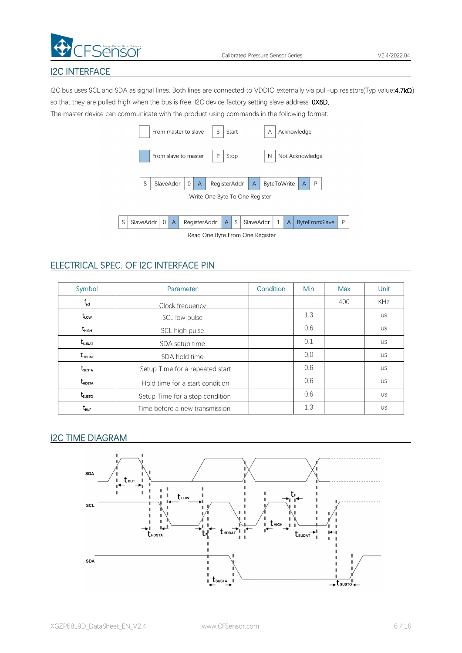

# I2C INTERFACE

I2C bus uses SCL and SDA as signal lines. Both lines are connected to VDDIO externally via pull-up resistors(Typ value:4.7kΩ) so that they are pulled high when the bus is free. I2C device factory setting slave address: 0X6D.

The master device can communicate with the product using commands in the following format:

|   |           |              |           | From master to slave |                | S                               |   | Start |           | A |   |                    | Acknowledge     |   |                      |   |  |
|---|-----------|--------------|-----------|----------------------|----------------|---------------------------------|---|-------|-----------|---|---|--------------------|-----------------|---|----------------------|---|--|
|   |           |              |           | From slave to master |                | P                               |   | Stop  |           | N |   |                    | Not Acknowledge |   |                      |   |  |
|   | S         |              | SlaveAddr | 0                    | $\overline{A}$ | RegisterAddr                    |   |       | A         |   |   | <b>ByteToWrite</b> | A               | P |                      |   |  |
|   |           |              |           |                      |                | Write One Byte To One Register  |   |       |           |   |   |                    |                 |   |                      |   |  |
|   |           |              |           |                      |                |                                 |   |       |           |   |   |                    |                 |   |                      |   |  |
| S | SlaveAddr | $\mathbf{0}$ | A         |                      | RegisterAddr   |                                 | A | S     | SlaveAddr |   | 1 | $\overline{A}$     |                 |   | <b>ByteFromSlave</b> | P |  |
|   |           |              |           |                      |                | Read One Byte From One Register |   |       |           |   |   |                    |                 |   |                      |   |  |

# ELECTRICAL SPEC. OF I2C INTERFACE PIN

| Symbol                             | Parameter                       | Condition | <b>Min</b> | Max | <b>Unit</b> |
|------------------------------------|---------------------------------|-----------|------------|-----|-------------|
| $I_{\rm scl}$                      | Clock frequency                 |           |            | 400 | <b>KHz</b>  |
| $t_{\text{\tiny{LOW}}}$            | SCL low pulse                   |           | 1.3        |     | <b>US</b>   |
| t <sub>нісн</sub>                  | SCL high pulse                  |           | 0.6        |     | <b>US</b>   |
| $\rm t_{\rm supat}$                | SDA setup time                  |           | 0.1        |     | <b>US</b>   |
| $t_{\scriptscriptstyle \sf HDDAT}$ | SDA hold time                   |           | 0.0        |     | <b>US</b>   |
| t <sub>susta</sub>                 | Setup Time for a repeated start |           | 0.6        |     | <b>US</b>   |
| $t_{\texttt{HOSTA}}$               | Hold time for a start condition |           | 0.6        |     | <b>US</b>   |
| $t_{\scriptscriptstyle SUSTO}$     | Setup Time for a stop condition |           | 0.6        |     | <b>US</b>   |
| $\rm t_{\rm BUF}$                  | Time before a new transmission  |           | 1.3        |     | <b>US</b>   |

# I2C TIME DIAGRAM

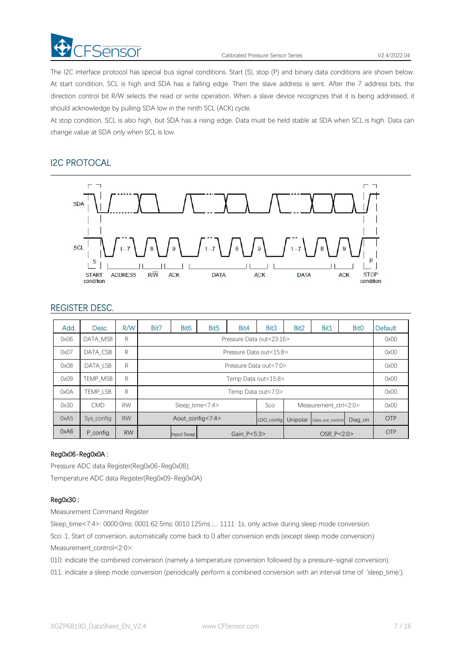

Calibrated Pressure Sensor Series V2.4/2022.04

The I2C interface protocol has special bus signal conditions. Start (S), stop (P) and binary data conditions are shown below. At start condition, SCL is high and SDA has a falling edge. Then the slave address is sent. After the 7 address bits, the direction control bit R/W selects the read or write operation. When a slave device recognizes that it is being addressed, it should acknowledge by pulling SDA low in the ninth SCL (ACK) cycle.

At stop condition, SCL is also high, but SDA has a rising edge. Data must be held stable at SDA when SCL is high. Data can change value at SDA only when SCL is low.

# I2C PROTOCAL



# REGISTER DESC.

| Add. | Desc.      | R/W       | Bit7                      | Bit <sub>6</sub>         | Bit <sub>5</sub> | Bit4       | Bit <sub>3</sub>                     | Bit <sub>2</sub> | Bit1                  | <b>Bit0</b> | Default |
|------|------------|-----------|---------------------------|--------------------------|------------------|------------|--------------------------------------|------------------|-----------------------|-------------|---------|
| 0x06 | DATA MSB   | R         |                           | Pressure Data out<23:16> |                  |            |                                      |                  |                       |             |         |
| 0x07 | DATA CSB   | R         |                           | Pressure Data out<15:8>  |                  |            |                                      |                  |                       |             |         |
| 0x08 | DATA LSB   | R         |                           | Pressure Data out<7:0>   |                  |            |                                      |                  |                       |             | 0x00    |
| 0x09 | TEMP MSB   | R         |                           | Temp Data out<15:8>      |                  |            |                                      |                  |                       |             | 0x00    |
| 0x0A | TEMP LSB   | R         |                           | Temp Data out<7:0>       |                  |            |                                      |                  |                       |             | 0x00    |
| 0x30 | <b>CMD</b> | <b>RW</b> |                           |                          | Sleep time<7:4>  |            | Sco                                  |                  | Measurement ctrl<2:0> |             | 0x00    |
| 0xA5 | Sys config | <b>RW</b> | Aout config<7:4>          |                          |                  | LDO config | Unipolar Data_out_control<br>Diag on |                  |                       | <b>OTP</b>  |         |
| 0xA6 | P_config   | <b>RW</b> | Gain P<5:3><br>Input Swap |                          |                  |            |                                      | OTP              |                       |             |         |

### Reg0x06-Reg0x0A :

Pressure ADC data Register(Reg0x06-Reg0x08); Temperature ADC data Register(Reg0x09-Reg0x0A)

### Reg0x30 :

Measurement Command Register

Sleep\_time<7:4>: 0000:0ms; 0001:62.5ms; 0010:125ms ;... 1111: 1s, only active during sleep mode conversion. Sco: 1, Start of conversion, automatically come back to 0 after conversion ends (except sleep mode conversion). Measurement\_control<2:0>:

010: indicate the combined conversion (namely a temperature conversion followed by a pressure-signal conversion). 011: indicate a sleep mode conversion (periodically perform a combined conversion with an interval time of 'sleep\_time'),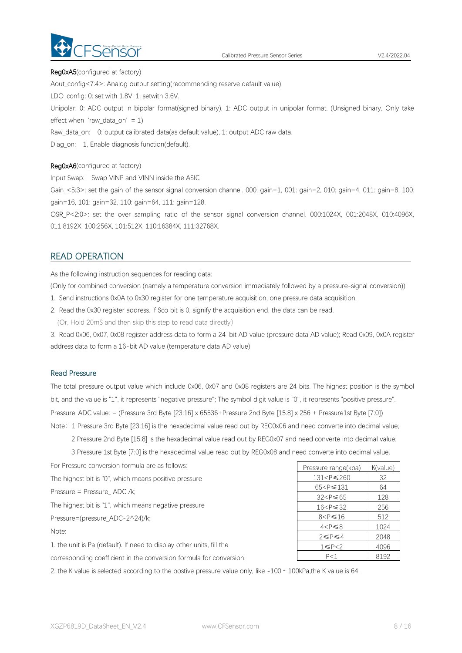

#### Reg0xA5(configured at factory)

Aout config<7:4>: Analog output setting(recommending reserve default value)

LDO\_config: 0: set with 1.8V; 1: setwith 3.6V.

Unipolar: 0: ADC output in bipolar format(signed binary), 1: ADC output in unipolar format. (Unsigned binary, Only take effect when 'raw\_data\_on' = 1)

Raw data on: 0: output calibrated data(as default value), 1: output ADC raw data.

Diag\_on: 1, Enable diagnosis function(default).

#### Reg0xA6(configured at factory)

Input Swap: Swap VINP and VINN inside the ASIC

Gain\_<5:3>: set the gain of the sensor signal conversion channel. 000: gain=1, 001: gain=2, 010: gain=4, 011: gain=8, 100: gain=16, 101: gain=32, 110: gain=64, 111: gain=128.

OSR\_P<2:0>: set the over sampling ratio of the sensorsignal conversion channel. 000:1024X, 001:2048X, 010:4096X, 011:8192X, 100:256X, 101:512X, 110:16384X, 111:32768X.

# READ OPERATION

As the following instruction sequences for reading data:

(Only for combined conversion (namely a temperature conversion immediately followed by a pressure-signal conversion))

- 1. Send instructions 0x0A to 0x30 register for one temperature acquisition, one pressure data acquisition.
- 2. Read the 0x30 register address. If Sco bit is 0, signify the acquisition end, the data can be read.

(Or, Hold 20mS and then skip this step to read data directly)

3. Read 0x06, 0x07, 0x08 register address data to form a 24-bit AD value (pressure data AD value); Read 0x09, 0x0A register address data to form a 16-bit AD value (temperature data AD value)

#### Read Pressure

The total pressure output value which include 0x06, 0x07 and 0x08 registers are 24 bits. The highest position is the symbol bit, and the value is "1", it represents "negative pressure"; The symbol digit value is "0", it represents "positive pressure". Pressure\_ADC value: = (Pressure 3rd Byte [23:16] x 65536+Pressure 2nd Byte [15:8] x 256 + Pressure1st Byte [7:0]) Note: 1 Pressure 3rd Byte [23:16] is the hexadecimal value read out by REG0x06 and need converte into decimal value;

2 Pressure 2nd Byte [15:8] is the hexadecimal value read out by REG0x07 and need converte into decimal value;

3 Pressure 1st Byte [7:0] is the hexadecimal value read out by REG0x08 and need converte into decimal value.

| For Pressure conversion formula are as follows:                       | Pressure range(kpa)                    | K(value) |
|-----------------------------------------------------------------------|----------------------------------------|----------|
| The highest bit is "0", which means positive pressure                 | 131 <p≤260< td=""><td>32</td></p≤260<> | 32       |
| Pressure = Pressure_ADC /k;                                           | $65 < P \le 131$                       | 64       |
|                                                                       | $32 < P \leq 65$                       | 128      |
| The highest bit is "1", which means negative pressure                 | $16 < P \leq 32$                       | 256      |
| Pressure=(pressure_ADC-2^24)/k;                                       | $8 < P \le 16$                         | 512      |
| Note:                                                                 | $4 < P \leq 8$                         | 1024     |
|                                                                       | $2 \leq P \leq 4$                      | 2048     |
| 1. the unit is Pa (default). If need to display other units, fill the | $1 \leq P < 2$                         | 4096     |

corresponding coefficient in the conversion formula for conversion;

2. the K value is selected according to the postive pressure value only, like  $-100 \sim 100kPa$ ,the K value is 64.

P < 1 8192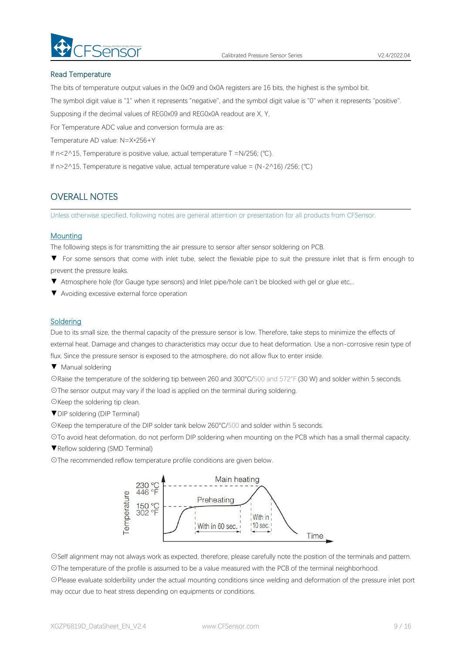

#### Read Temperature

The bits of temperature output values in the 0x09 and 0x0A registers are 16 bits, the highest is the symbol bit.

The symbol digit value is "1" when it represents "negative", and the symbol digit value is "0" when it represents "positive".

Supposing if the decimal values of REG0x09 and REG0x0A readout are X, Y,

For Temperature ADC value and conversion formula are as:

Temperature AD value: N=X\*256+Y

If n<2^15, Temperature is positive value, actual temperature T =N/256; (℃).

If n>2^15, Temperature is negative value, actual temperature value = (N-2^16) /256; (℃)

# OVERALL NOTES

Unless otherwise specified, following notes are general attention or presentation for all products from CFSensor.

#### **Mounting**

The following steps is for transmitting the air pressure to sensor after sensor soldering on PCB.

- ▼ For some sensors that come with inlet tube, select the flexiable pipe to suit the pressure inlet that is firm enough to prevent the pressure leaks.
- ▼ Atmosphere hole (for Gauge type sensors) and Inlet pipe/hole can't be blocked with gel or glue etc,..
- ▼ Avoiding excessive external force operation

#### **Soldering**

Due to its small size, the thermal capacity of the pressure sensor is low. Therefore, take steps to minimize the effects of external heat. Damage and changes to characteristics may occur due to heat deformation. Use a non-corrosive resin type of flux. Since the pressure sensor is exposed to the atmosphere, do not allow flux to enter inside.

▼ Manual soldering

☉Raise the temperature of the soldering tip between 260 and 300°C/500 and 572°F (30 W) and solder within 5 seconds. ☉The sensor output may vary if the load is applied on the terminal during soldering.

- ☉Keep the soldering tip clean.
- ▼DIP soldering (DIP Terminal)

☉Keep the temperature of the DIP solder tank below 260°C/500 and solder within 5 seconds.

☉To avoid heat deformation, do not perform DIP soldering when mounting on the PCB which has a small thermal capacity.

▼Reflow soldering (SMD Terminal)

☉The recommended reflow temperature profile conditions are given below.



☉Self alignment may not always work as expected, therefore, please carefully note the position of the terminals and pattern. ☉The temperature of the profile is assumed to be a value measured with the PCB of the terminal neighborhood.

☉Please evaluate solderbility under the actual mounting conditions since welding and deformation of the pressure inlet port may occur due to heat stress depending on equipments or conditions.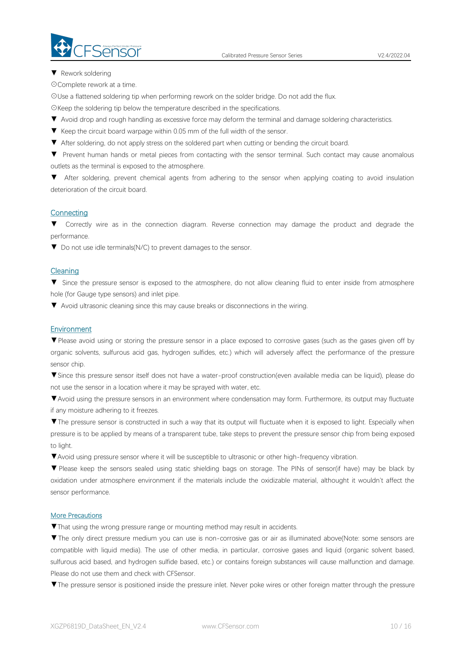▼ Rework soldering

☉Complete rework at a time.

☉Use a flattened soldering tip when performing rework on the solder bridge. Do not add the flux.

☉Keep the soldering tip below the temperature described in the specifications.

- ▼ Avoid drop and rough handling as excessive force may deform the terminal and damage soldering characteristics.
- 
- ▼ Keep the circuit board warpage within 0.05 mm of the full width of the sensor.<br>▼ After soldering, do not apply stress on the soldered part when cutting or bending the circuit board.

▼ Prevent human hands or metal pieces from contacting with the sensor terminal. Such contact may cause anomalous outlets as the terminal is exposed to the atmosphere.

▼ After soldering, prevent chemical agents from adhering to the sensor when applying coating to avoid insulation deterioration of the circuit board.

#### **Connecting**

▼ Correctly wire as in the connection diagram. Reverse connection may damage the product and degrade the performance.

▼ Do not use idle terminals(N/C) to prevent damages to the sensor.

#### **Cleaning**

▼ Since the pressure sensor is exposed to the atmosphere, do not allow cleaning fluid to enter inside from atmosphere hole (for Gauge type sensors) and inlet pipe.

▼ Avoid ultrasonic cleaning since this may cause breaks or disconnections in the wiring.

#### Environment

▼Please avoid using or storing the pressure sensor in a place exposed to corrosive gases (such as the gases given off by organic solvents, sulfurous acid gas, hydrogen sulfides, etc.) which will adversely affect the performance of the pressure sensor chip.

▼Since this pressure sensor itself does not have a water-proof construction(even available media can be liquid), please do not use the sensor in alocation where it may be sprayed with water, etc.

▼Avoid using the pressure sensors in an environment where condensation may form. Furthermore, its output may fluctuate if any moisture adhering to it freezes.

▼The pressure sensor is constructed in such a way that its output will fluctuate when it is exposed to light. Especially when pressure is to be applied by means of a transparent tube, take steps to prevent the pressure sensor chip from being exposed to light.

▼Avoid using pressure sensor where it will be susceptible to ultrasonic or other high-frequency vibration.

▼ Please keep the sensors sealed using static shielding bags on storage. The PINs of sensor(if have) may be black by oxidation under atmosphere environment if the materials include the oxidizable material, althought it wouldn't affect the sensor performance.

#### More Precautions

▼That using the wrong pressure range or mounting method mayresult in accidents.

▼The only direct pressure medium you can use is non-corrosive gas or air as illuminated above(Note: some sensors are compatible with liquid media). The use of other media, in particular, corrosive gases and liquid (organic solvent based, sulfurous acid based, and hydrogen sulfide based, etc.) or contains foreign substances will cause malfunction and damage.<br>Please do not use them and check with CFSensor.

▼The pressure sensor is positioned inside the pressure inlet. Never poke wires orother foreign matter through the pressure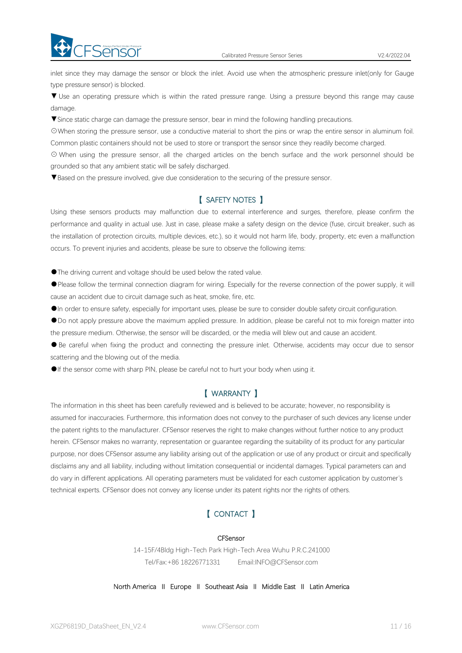inlet since they may damage the sensor or block the inlet. Avoid use when the atmospheric pressure inlet(only for Gauge type pressure sensor) is blocked.

▼ Use an operating pressure which is within the rated pressure range. Using a pressure beyond this range may cause damage.

▼Since static charge can damage the pressure sensor, bear in mind the following handling precautions.

☉When storing the pressure sensor, use a conductive material to short the pins or wrap the entire sensor in aluminum foil. Common plastic containers should not be used to store or transport the sensor since they readily become charged.

⊙ When using the pressure sensor, all the charged articles on the bench surface and the work personnel should be grounded so that any ambient static will be safely discharged.

▼Based on the pressure involved, give due consideration to the securing of the pressure sensor.

# 【 SAFETY NOTES 】

Using these sensors products may malfunction due to external interference and surges, therefore, please confirm the performance and quality in actual use. Just in case, please make a safety design on the device (fuse, circuit breaker, such as the installation of protection circuits, multiple devices, etc.), so it would not harm life, body, property, etc even amalfunction occurs. To prevent injuries and accidents, please be sure to observe the following items:

●The driving current and voltage should be used below the rated value.

FSensorerect Under Pressure

●Please follow the terminal connection diagram for wiring. Especially for the reverse connection of the power supply, it will cause an accident due to circuit damage such as heat, smoke, fire, etc.

●In order to ensure safety, especially for important uses, please be sure to consider double safety circuit configuration.

●Do not apply pressure above the maximum applied pressure. In addition, please be careful not to mix foreign matter into the pressure medium. Otherwise, the sensor will be discarded, or the media will blew out and cause an accident.<br>• Be careful when fixing the product and connecting the pressure inlet. Otherwise, accidents may occur due to

scattering and the blowing out of the media.

●If the sensor come with sharp PIN, please be careful not to hurt your body when using it.

### 【 WARRANTY 】

The information in this sheet has been carefully reviewed and is believed to be accurate; however, no responsibility is assumed for inaccuracies. Furthermore, this information does not convey to the purchaser of such devices any license under the patent rights to the manufacturer. CFSensor reserves the right to make changes without further notice to any product herein. CFSensor makes no warranty, representation or guarantee regarding the suitability of its product for any particular purpose, nor does CFSensor assume any liability arising out of the application or use of any product or circuit and specifically disclaims any and all liability, including without limitation consequential or incidental damages. Typical parameters can and do varyin different applications. All operating parameters must be validated for each customer application by customer's technical experts. CFSensor does not convey any license under its patent rights nor the rights of others.

# 【 CONTACT 】

#### **CFSensor**

14-15F/4Bldg High-Tech Park High-Tech Area Wuhu P.R.C.241000 Tel/Fax:+86 18226771331 Email:INFO@CFSensor.com

North America Ⅱ Europe Ⅱ Southeast Asia Ⅱ Middle East Ⅱ Latin America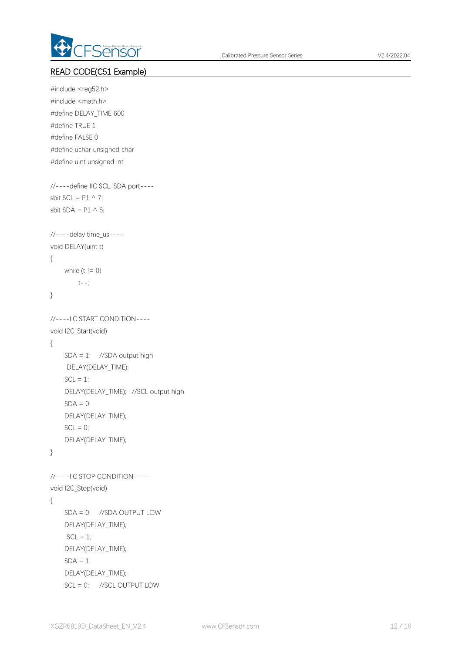

# READ CODE(C51 Example)

```
#include <reg52.h>
#include <math.h>
#define DELAY_TIME 600
#define TRUE 1
#define FALSE 0
#define uchar unsigned char
#define uint unsigned int
//----define IIC SCL, SDA port----
sbit SCL = P1 \wedge 7;
sbit SDA = P1 \wedge 6;
//----delay time_us----
void DELAY(uint t)
{
    while (t != 0)t--;
}
//----IIC START CONDITION----
void I2C_Start(void)
{
    SDA = 1; //SDA output high
    DELAY(DELAY_TIME);
    SCL = 1:
    DELAY(DELAY_TIME); //SCL output high
    SDA = 0;
    DELAY(DELAY_TIME);
    SCL = 0;DELAY(DELAY_TIME);
}
//----IIC STOP CONDITION----
void I2C_Stop(void)
{
    SDA = 0; //SDA OUTPUT LOW
    DELAY(DELAY_TIME);
    SCL = 1;
    DELAY(DELAY_TIME);
    SDA = 1;
    DELAY(DELAY_TIME);
    SCL = 0; //SCL OUTPUT LOW
```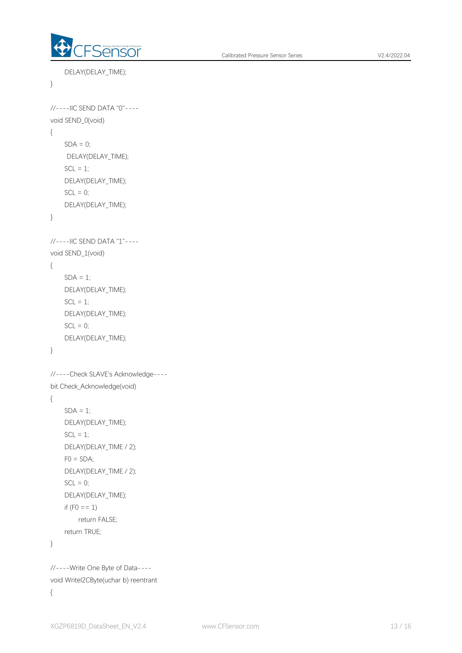

```
DELAY(DELAY_TIME);
}
//----IIC SEND DATA "0"----
void SEND_0(void)
{
    SDA = 0;
    DELAY(DELAY_TIME);
    SCL = 1;
    DELAY(DELAY_TIME);
    SCL = 0;
    DELAY(DELAY_TIME);
}
//----IIC SEND DATA "1"----
void SEND_1(void)
{
    SDA = 1;
    DELAY(DELAY_TIME);
    SCL = 1;
    DELAY(DELAY_TIME);
    SCL = 0;
    DELAY(DELAY_TIME);
}
//----Check SLAVE's Acknowledge---- bit Check_Acknowledge(void)
{
    SDA = 1;
    DELAY(DELAY_TIME);
    SCL = 1;
    DELAY(DELAY_TIME / 2);
    FO = SDA;
    DELAY(DELAY_TIME / 2);
    SCL = 0;
    DELAY(DELAY_TIME);
    if (F0 == 1)return FALSE;
    return TRUE;
}
//----Write One Byte of Data----
void WriteI2CByte(uchar b) reentrant
```

```
{
```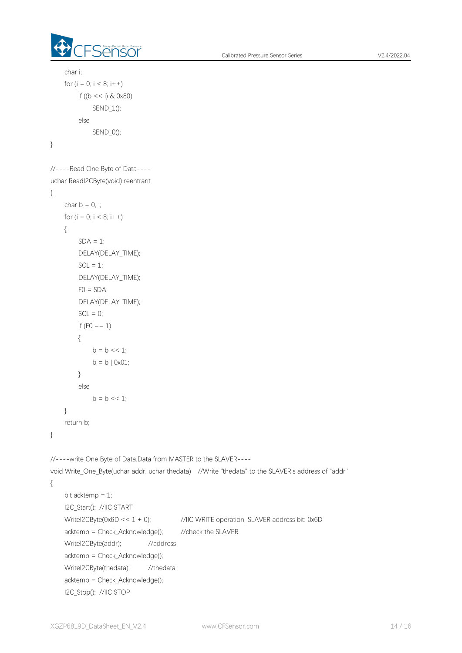

```
char i;
    for (i = 0; i < 8; i++)if ((b << i) & 0x80)
            SEND_1();
        else
            SEND_0();
}
//----Read One Byte of Data---- uchar ReadI2CByte(void) reentrant
{
    char b = 0, i;
    for (i = 0; i < 8; i++){
        SDA = 1;
        DELAY(DELAY_TIME);
        SCL = 1;
        DELAY(DELAY_TIME);
        FO = SDA;
        DELAY(DELAY_TIME);
        SCL = 0;
        if (F0 == 1){
            b = b \ll 1;
            b = b | 0x01;}
        else
            b = b \lt 1:
    }
    return b;
}
//----write One Byte of Data,Data from MASTER to the SLAVER----
void Write_One_Byte(uchar addr, uchar thedata) //Write "thedata" to the SLAVER's address of "addr"
{
    bit acktemp = 1;
    I2C_Start(); //IIC START
    WriteI2CByte(0x6D << 1 + 0); //IIC WRITE operation, SLAVER address bit: 0x6D
    acktemp = Check_Acknowledge(); //check the SLAVER
    WriteI2CByte(addr); //address
    acktemp = Check_Acknowledge();
    Writel2CByte(thedata); //thedata
    acktemp = Check_Acknowledge();
    I2C_Stop(); //IIC STOP
```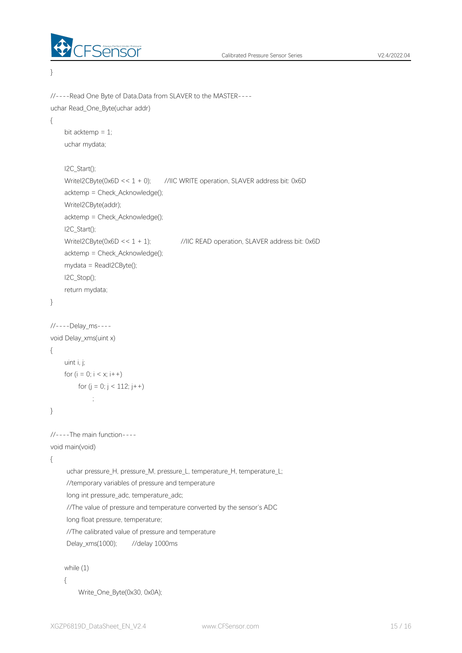

}

```
//----Read One Byte of Data,Data from SLAVER to the MASTER---- uchar Read_One_Byte(uchar addr)
{
    bit acktemp = 1;
    uchar mydata;
    I2C_Start();
    WriteI2CByte(0x6D << 1 + 0); //IIC WRITE operation, SLAVER address bit: 0x6D
    acktemp = Check_Acknowledge();
    WriteI2CByte(addr);
    acktemp = Check Acknowledge();
    I2C_Start();
    WriteI2CByte(0x6D << 1 + 1); //IIC READ operation, SLAVER address bit: 0x6D
    acktemp = Check_Acknowledge();
    mydata = ReadI2CByte();
    I2C_Stop();
    return mydata;
}
//----Delay_ms----
void Delay_xms(uint x)
{
    uint i, j;
    for (i = 0; i < x; i++)for (i = 0; j < 112; j++)\frac{1}{2}}
//----The main function----
void main(void)
{
     uchar pressure_H, pressure_M, pressure_L, temperature_H, temperature_L;
     //temporary variables of pressure and temperature
     long int pressure_adc, temperature_adc;
     //The value of pressure and temperature converted by the sensor's ADC
     long float pressure, temperature;
     //The calibrated value of pressure and temperature
     Delay_xms(1000); //delay 1000ms
    while (1)
    {
        Write_One_Byte(0x30, 0x0A);
```